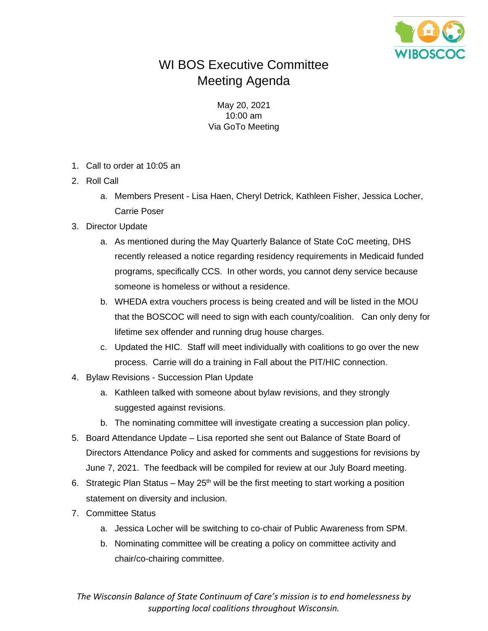

## WI BOS Executive Committee Meeting Agenda

May 20, 2021 10:00 am Via GoTo Meeting

- 1. Call to order at 10:05 an
- 2. Roll Call
	- a. Members Present Lisa Haen, Cheryl Detrick, Kathleen Fisher, Jessica Locher, Carrie Poser
- 3. Director Update
	- a. As mentioned during the May Quarterly Balance of State CoC meeting, DHS recently released a notice regarding residency requirements in Medicaid funded programs, specifically CCS. In other words, you cannot deny service because someone is homeless or without a residence.
	- b. WHEDA extra vouchers process is being created and will be listed in the MOU that the BOSCOC will need to sign with each county/coalition. Can only deny for lifetime sex offender and running drug house charges.
	- c. Updated the HIC. Staff will meet individually with coalitions to go over the new process. Carrie will do a training in Fall about the PIT/HIC connection.
- 4. Bylaw Revisions Succession Plan Update
	- a. Kathleen talked with someone about bylaw revisions, and they strongly suggested against revisions.
	- b. The nominating committee will investigate creating a succession plan policy.
- 5. Board Attendance Update Lisa reported she sent out Balance of State Board of Directors Attendance Policy and asked for comments and suggestions for revisions by June 7, 2021. The feedback will be compiled for review at our July Board meeting.
- 6. Strategic Plan Status May  $25<sup>th</sup>$  will be the first meeting to start working a position statement on diversity and inclusion.
- 7. Committee Status
	- a. Jessica Locher will be switching to co-chair of Public Awareness from SPM.
	- b. Nominating committee will be creating a policy on committee activity and chair/co-chairing committee.

*The Wisconsin Balance of State Continuum of Care's mission is to end homelessness by supporting local coalitions throughout Wisconsin.*